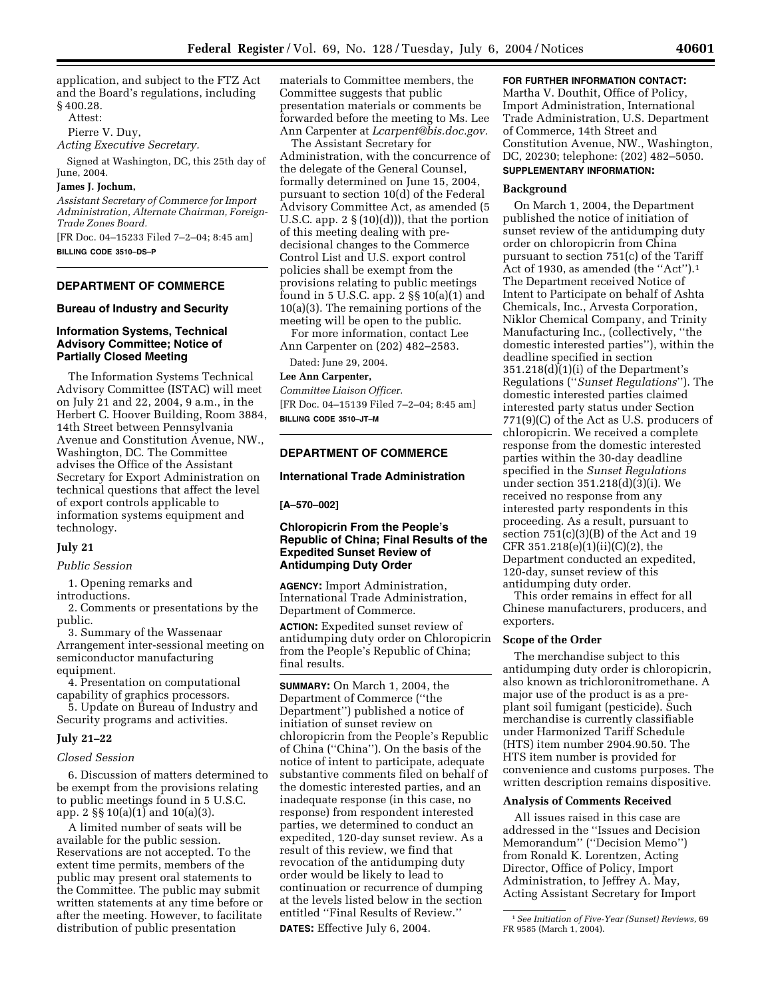application, and subject to the FTZ Act and the Board's regulations, including § 400.28.

Attest:

Pierre V. Duy,

*Acting Executive Secretary.*

Signed at Washington, DC, this 25th day of June, 2004.

### **James J. Jochum,**

*Assistant Secretary of Commerce for Import Administration, Alternate Chairman, Foreign-Trade Zones Board.*

[FR Doc. 04–15233 Filed 7–2–04; 8:45 am] **BILLING CODE 3510–DS–P**

# **DEPARTMENT OF COMMERCE**

#### **Bureau of Industry and Security**

### **Information Systems, Technical Advisory Committee; Notice of Partially Closed Meeting**

The Information Systems Technical Advisory Committee (ISTAC) will meet on July 21 and 22, 2004, 9 a.m., in the Herbert C. Hoover Building, Room 3884, 14th Street between Pennsylvania Avenue and Constitution Avenue, NW., Washington, DC. The Committee advises the Office of the Assistant Secretary for Export Administration on technical questions that affect the level of export controls applicable to information systems equipment and technology.

### **July 21**

*Public Session* 

1. Opening remarks and

introductions.

2. Comments or presentations by the public.

3. Summary of the Wassenaar Arrangement inter-sessional meeting on semiconductor manufacturing equipment.

4. Presentation on computational capability of graphics processors. 5. Update on Bureau of Industry and

Security programs and activities.

# **July 21–22**

#### *Closed Session*

6. Discussion of matters determined to be exempt from the provisions relating to public meetings found in 5 U.S.C. app. 2 §§ 10(a)(1) and 10(a)(3).

A limited number of seats will be available for the public session. Reservations are not accepted. To the extent time permits, members of the public may present oral statements to the Committee. The public may submit written statements at any time before or after the meeting. However, to facilitate distribution of public presentation

materials to Committee members, the Committee suggests that public presentation materials or comments be forwarded before the meeting to Ms. Lee Ann Carpenter at *Lcarpent@bis.doc.gov.*

The Assistant Secretary for Administration, with the concurrence of the delegate of the General Counsel, formally determined on June 15, 2004, pursuant to section 10(d) of the Federal Advisory Committee Act, as amended (5 U.S.C. app.  $2 \S(10)(d))$ , that the portion of this meeting dealing with predecisional changes to the Commerce Control List and U.S. export control policies shall be exempt from the provisions relating to public meetings found in 5 U.S.C. app. 2 §§ 10(a)(1) and 10(a)(3). The remaining portions of the meeting will be open to the public.

For more information, contact Lee Ann Carpenter on (202) 482–2583.

Dated: June 29, 2004.

#### **Lee Ann Carpenter,**

*Committee Liaison Officer.* [FR Doc. 04–15139 Filed 7–2–04; 8:45 am] **BILLING CODE 3510–JT–M**

### **DEPARTMENT OF COMMERCE**

### **International Trade Administration**

### **[A–570–002]**

### **Chloropicrin From the People's Republic of China; Final Results of the Expedited Sunset Review of Antidumping Duty Order**

**AGENCY:** Import Administration, International Trade Administration, Department of Commerce.

**ACTION:** Expedited sunset review of antidumping duty order on Chloropicrin from the People's Republic of China; final results.

**SUMMARY:** On March 1, 2004, the Department of Commerce (''the Department'') published a notice of initiation of sunset review on chloropicrin from the People's Republic of China (''China''). On the basis of the notice of intent to participate, adequate substantive comments filed on behalf of the domestic interested parties, and an inadequate response (in this case, no response) from respondent interested parties, we determined to conduct an expedited, 120-day sunset review. As a result of this review, we find that revocation of the antidumping duty order would be likely to lead to continuation or recurrence of dumping at the levels listed below in the section entitled ''Final Results of Review.'' **DATES:** Effective July 6, 2004.

### **FOR FURTHER INFORMATION CONTACT:** Martha V. Douthit, Office of Policy, Import Administration, International Trade Administration, U.S. Department of Commerce, 14th Street and Constitution Avenue, NW., Washington, DC, 20230; telephone: (202) 482–5050. **SUPPLEMENTARY INFORMATION:**

#### **Background**

On March 1, 2004, the Department published the notice of initiation of sunset review of the antidumping duty order on chloropicrin from China pursuant to section 751(c) of the Tariff Act of 1930, as amended (the "Act").<sup>1</sup> The Department received Notice of Intent to Participate on behalf of Ashta Chemicals, Inc., Arvesta Corporation, Niklor Chemical Company, and Trinity Manufacturing Inc., (collectively, ''the domestic interested parties''), within the deadline specified in section 351.218(d)(1)(i) of the Department's Regulations (''*Sunset Regulations*''). The domestic interested parties claimed interested party status under Section 771(9)(C) of the Act as U.S. producers of chloropicrin. We received a complete response from the domestic interested parties within the 30-day deadline specified in the *Sunset Regulations* under section 351.218(d)(3)(i). We received no response from any interested party respondents in this proceeding. As a result, pursuant to section 751(c)(3)(B) of the Act and 19 CFR  $351.218(e)(1)(ii)(C)(2)$ , the Department conducted an expedited, 120-day, sunset review of this antidumping duty order.

This order remains in effect for all Chinese manufacturers, producers, and exporters.

### **Scope of the Order**

The merchandise subject to this antidumping duty order is chloropicrin, also known as trichloronitromethane. A major use of the product is as a preplant soil fumigant (pesticide). Such merchandise is currently classifiable under Harmonized Tariff Schedule (HTS) item number 2904.90.50. The HTS item number is provided for convenience and customs purposes. The written description remains dispositive.

#### **Analysis of Comments Received**

All issues raised in this case are addressed in the ''Issues and Decision Memorandum'' (''Decision Memo'') from Ronald K. Lorentzen, Acting Director, Office of Policy, Import Administration, to Jeffrey A. May, Acting Assistant Secretary for Import